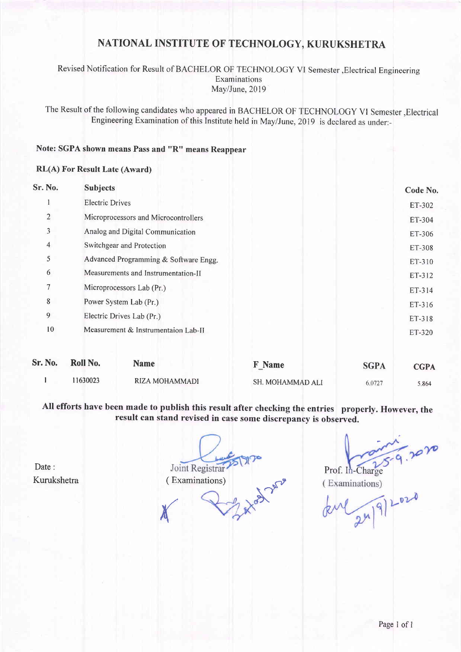# NATIONAL INSTITUTE OF TECHNOLOGY, KURUKSHETRA

## Revised Notification for Result of BACHELOR OF TECFINOLOGY VI Semester,Electrical Engineering Examinations May/June, 2019

The Result of the following candidates who appeared in BACHELoR oF TECHNoLoGy vl semester,Electrical Engineering Examination of this Institute held in May/June, 2019 is declared as under:-

## Note: SGPA shown means Pass and "R" means Reappear

#### RL(A) For Result Late (Award)

| Sr. No.        | <b>Subjects</b>                       |                  |             | Code No.    |  |  |
|----------------|---------------------------------------|------------------|-------------|-------------|--|--|
|                | <b>Electric Drives</b>                |                  |             |             |  |  |
| $\overline{2}$ | Microprocessors and Microcontrollers  |                  |             |             |  |  |
| 3              | Analog and Digital Communication      |                  |             |             |  |  |
| 4              | Switchgear and Protection             |                  |             |             |  |  |
| 5              | Advanced Programming & Software Engg. |                  |             |             |  |  |
| 6              | Measurements and Instrumentation-II   |                  |             |             |  |  |
| 7              | Microprocessors Lab (Pr.)             |                  |             |             |  |  |
| 8              | Power System Lab (Pr.)                |                  |             |             |  |  |
| 9              | Electric Drives Lab (Pr.)             |                  |             |             |  |  |
| 10             | Measurement & Instrumentaion Lab-II   |                  |             | ET-320      |  |  |
| Sr. No.        | Roll No.<br><b>Name</b>               | <b>F</b> Name    | <b>SGPA</b> | <b>CGPA</b> |  |  |
|                | 11630023<br>RIZA MOHAMMADI            | SH. MOHAMMAD ALI | 6.0727      | 5.864       |  |  |

All efforts have been made to publish this result after checking the entries properly. However, the result can stand revised in case some discrepancy is observed.

Date: Kurukshetra

in to be you Joint Registrar ( Examinations)  ${\times}$ 

(Examinations)

Prof. In-Charge<br>(Examinations)<br>Level 2n/9/2020